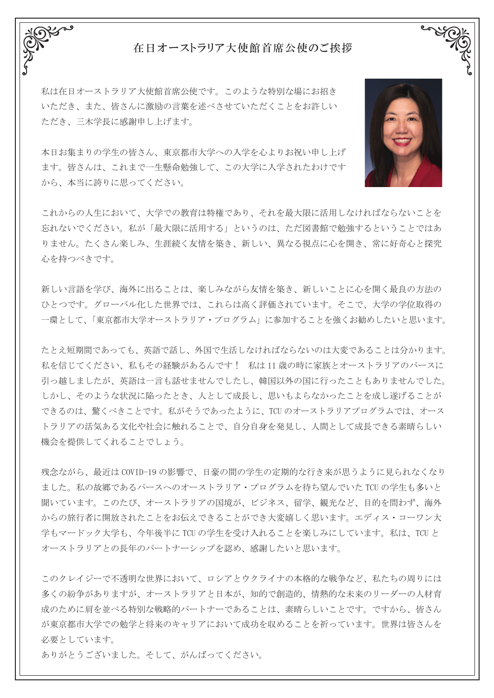## 在日オーストラリア大使館首席公使のご挨拶

私は在日オーストラリア大使館首席公使です。 このような特別な場にお招き いただき、また、皆さんに激励の言葉を述べさせていただくことをお許しい ただき、三木学長に感謝申し上げます。

本日お集まりの学生の皆さん、東京都市大学への入学を心よりお祝い申し上げ ます。 皆さんは、これまで一生懸命勉強して、この大学に入学されたわけです から、本当に誇りに思ってください。

これからの人生において、大学での教育は特権であり、それを最大限に活用しなければならないことを 忘れないでください。 私が「最大限に活用する」というのは、ただ図書館で勉強するということではあ りません。 たくさん楽しみ、生涯続く友情を築き、新しい、異なる視点に心を開き、常に好奇心と探究 心を持つべきです。

新しい言語を学び、海外に出ることは、楽しみながら友情を築き、新しいことに心を開く最良の方法の ひとつです。グローバル化した世界では、これらは高く評価されています。 そこで、大学の学位取得の 一環として、「東京都市大学オーストラリア・プログラム」に参加することを強くお勧めしたいと思います。

たとえ短期間であっても、英語で話し、外国で生活しなければならないのは大変であることは分かります。 私を信じてください、私もその経験があるんです ! 私は 11 歳の時に家族とオーストラリアのパースに 引っ越しましたが、英語は一言も話せませんでしたし、韓国以外の国に行ったこともありませんでした。 しかし、そのような状況に陥ったとき、人として成長し、思いもよらなかったことを成し遂げることが できるのは、驚くべきことです。私がそうであったように、TCU のオーストラリアプログラムでは、オース トラリアの活気ある文化や社会に触れることで、自分自身を発見し、人間として成長できる素晴らしい 機会を提供してくれることでしょう。

残念ながら、最近は COVID-19 の影響で、日豪の間の学生の定期的な行き来が思うように見られなくなり ました。私の故郷であるパースへのオーストラリア・プログラムを待ち望んでいた TCU の学生も多いと 聞いています。このたび、オーストラリアの国境が、ビジネス、留学、観光など、目的を問わず、海外 からの旅行者に開放されたことをお伝えできることができ大変嬉しく思います。エディス・コーワン大 学もマードック大学も、今年後半に TCU の学生を受け入れることを楽しみにしています。私は、TCU と オーストラリアとの長年のパートナーシップを認め、感謝したいと思います。

このクレイジーで不透明な世界において、ロシアとウクライナの本格的な戦争など、私たちの周りには 多くの紛争がありますが、オーストラリアと日本が、知的で創造的、情熱的な未来のリーダーの人材育 成のために肩を並べる特別な戦略的パートナーであることは、素晴らしいことです。 ですから、皆さん が東京都市大学での勉学と将来のキャリアにおいて成功を収めることを祈っています。世界は皆さんを 必要としています。

ありがとうございました。そして、がんばってください。